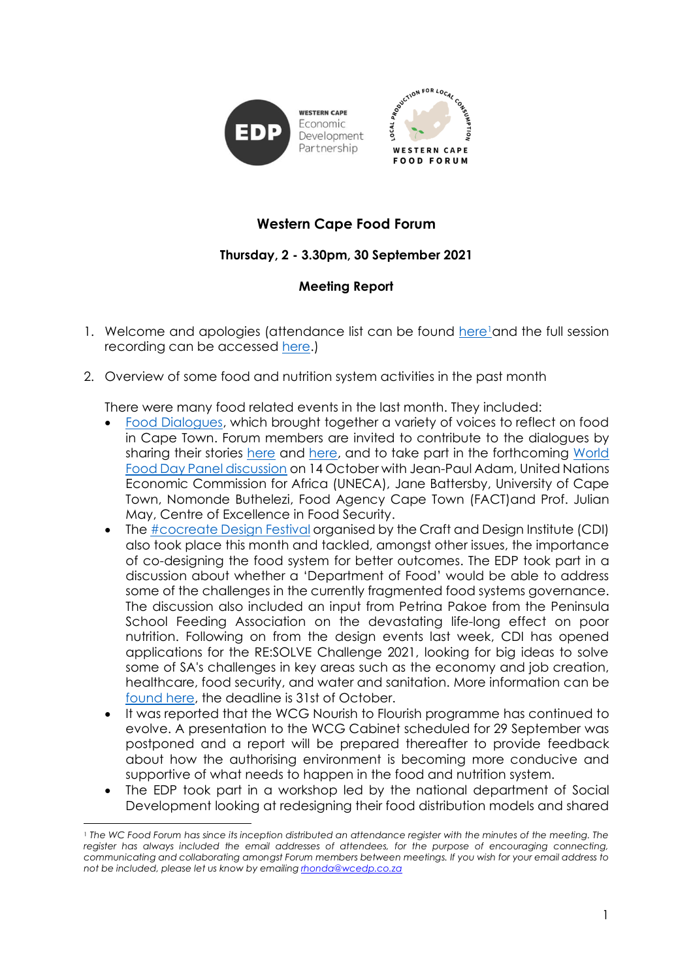

## **Western Cape Food Forum**

## **Thursday, 2 - 3.30pm, 30 September 2021**

## **Meeting Report**

- 1. Welcome and apologies (attendance list can be found [here](https://docs.google.com/spreadsheets/d/1224g3UHKTU0jzhADEPeKmX2KoVM0mEBa/edit?usp=sharing&ouid=114253026864127630125&rtpof=true&sd=true)land the full session recording can be accessed [here.](https://drive.google.com/file/d/1-bsopr527Mp65tUpQs5Wl9hRSDl8L2vQ/view?usp=sharing))
- 2. Overview of some food and nutrition system activities in the past month

There were many food related events in the last month. They included:

- [Food Dialogues,](http://fooddialogues.info/) which brought together a variety of voices to reflect on food in Cape Town. Forum members are invited to contribute to the dialogues by sharing their stories [here](https://fairfood.org.za/2021/09/14/shareyourstory/) and [here,](https://fairfood.org.za/2021/09/14/share-your-food-culture-bring-a-plate-of-food-to-the-food-dialogues/) and to take part in the forthcoming [World](https://food-dialogues-cape-town-2021.heysummit.com/talks/world-food-day-panel-discussion/)  [Food Day Panel discussion](https://food-dialogues-cape-town-2021.heysummit.com/talks/world-food-day-panel-discussion/) on 14 October with Jean-Paul Adam, United Nations Economic Commission for Africa (UNECA), Jane Battersby, University of Cape Town, Nomonde Buthelezi, Food Agency Cape Town (FACT)and Prof. Julian May, Centre of Excellence in Food Security.
- The [#cocreate](http://cocreatesa.nl/2021-cocreatedesign-festival/) Desian Festival organised by the Craft and Desian Institute (CDI) also took place this month and tackled, amongst other issues, the importance of co-designing the food system for better outcomes. The EDP took part in a discussion about whether a 'Department of Food' would be able to address some of the challenges in the currently fragmented food systems governance. The discussion also included an input from Petrina Pakoe from the Peninsula School Feeding Association on the devastating life-long effect on poor nutrition. Following on from the design events last week, CDI has opened applications for the RE:SOLVE Challenge 2021, looking for big ideas to solve some of SA's challenges in key areas such as the economy and job creation, healthcare, food security, and water and sanitation. More information can be [found here,](https://www.thecdi.org.za/news/580530/Entries-for-RESOLVE--a-purpose-led-innovation-challenge--are-now-open.htm) the deadline is 31st of October.
- It was reported that the WCG Nourish to Flourish programme has continued to evolve. A presentation to the WCG Cabinet scheduled for 29 September was postponed and a report will be prepared thereafter to provide feedback about how the authorising environment is becoming more conducive and supportive of what needs to happen in the food and nutrition system.
- The EDP took part in a workshop led by the national department of Social Development looking at redesigning their food distribution models and shared

<sup>1</sup> *The WC Food Forum has since its inception distributed an attendance register with the minutes of the meeting. The register has always included the email addresses of attendees, for the purpose of encouraging connecting, communicating and collaborating amongst Forum members between meetings. If you wish for your email address to not be included, please let us know by emailing [rhonda@wcedp.co.za](mailto:rhonda@wcedp.co.za)*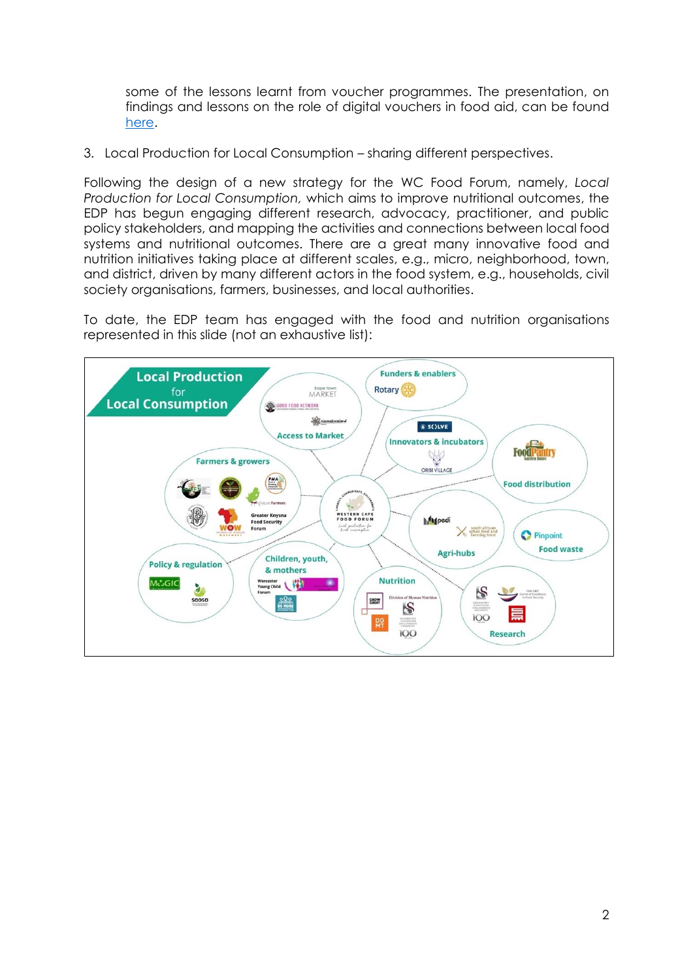some of the lessons learnt from voucher programmes. The presentation, on findings and lessons on the role of digital vouchers in food aid, can be found [here.](https://drive.google.com/file/d/1XVvcI-wjegDsAfF9KF6kWIkIKtNKEr7-/view?usp=sharing)

3. Local Production for Local Consumption – sharing different perspectives.

Following the design of a new strategy for the WC Food Forum, namely, *Local Production for Local Consumption,* which aims to improve nutritional outcomes, the EDP has begun engaging different research, advocacy, practitioner, and public policy stakeholders, and mapping the activities and connections between local food systems and nutritional outcomes. There are a great many innovative food and nutrition initiatives taking place at different scales, e.g., micro, neighborhood, town, and district, driven by many different actors in the food system, e.g., households, civil society organisations, farmers, businesses, and local authorities.

To date, the EDP team has engaged with the food and nutrition organisations represented in this slide (not an exhaustive list):

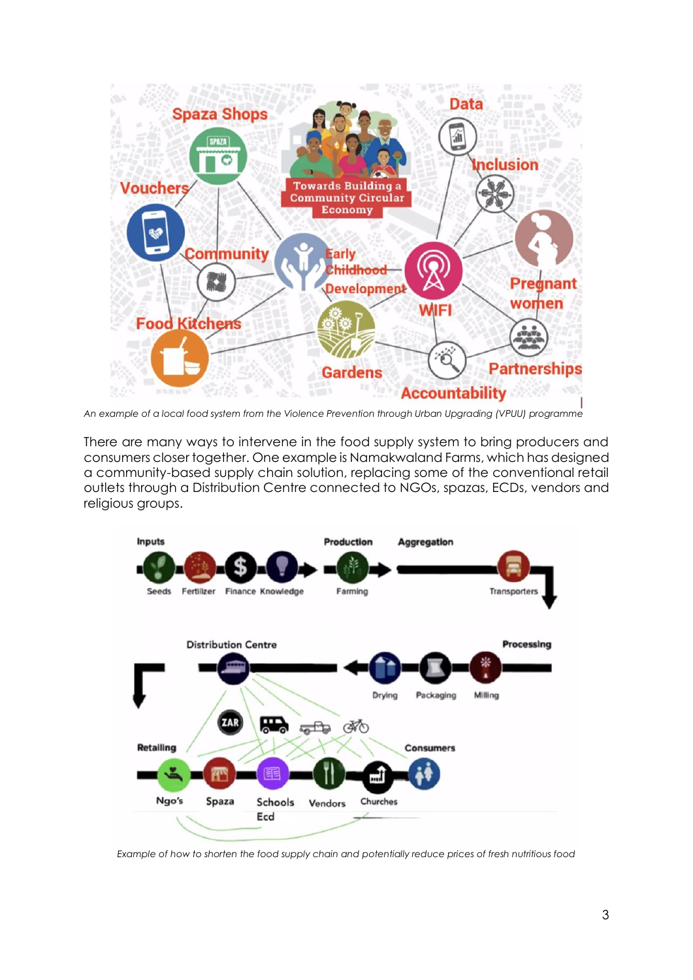

*An example of a local food system from the Violence Prevention through Urban Upgrading (VPUU) programme*

There are many ways to intervene in the food supply system to bring producers and consumers closer together. One example is Namakwaland Farms, which has designed a community-based supply chain solution, replacing some of the conventional retail outlets through a Distribution Centre connected to NGOs, spazas, ECDs, vendors and religious groups.



*Example of how to shorten the food supply chain and potentially reduce prices of fresh nutritious food*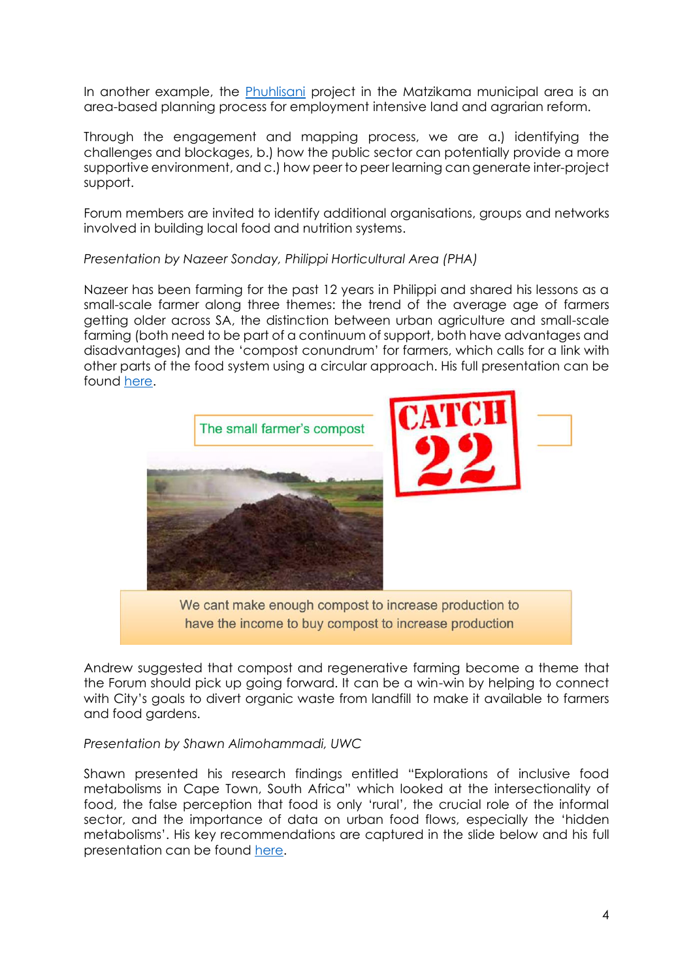In another example, the [Phuhlisani](http://www.phuhlisani.org/) project in the Matzikama municipal area is an area-based planning process for employment intensive land and agrarian reform.

Through the engagement and mapping process, we are a.) identifying the challenges and blockages, b.) how the public sector can potentially provide a more supportive environment, and c.) how peer to peer learning can generate inter-project support.

Forum members are invited to identify additional organisations, groups and networks involved in building local food and nutrition systems.

*Presentation by Nazeer Sonday, Philippi Horticultural Area (PHA)*

Nazeer has been farming for the past 12 years in Philippi and shared his lessons as a small-scale farmer along three themes: the trend of the average age of farmers getting older across SA, the distinction between urban agriculture and small-scale farming (both need to be part of a continuum of support, both have advantages and disadvantages) and the 'compost conundrum' for farmers, which calls for a link with other parts of the food system using a circular approach. His full presentation can be found [here.](https://drive.google.com/file/d/1P2hXQCtNRYlD0o5PvEn_Jzz3jQ0np9ru/view?usp=sharing)



have the income to buy compost to increase production

Andrew suggested that compost and regenerative farming become a theme that the Forum should pick up going forward. It can be a win-win by helping to connect with City's goals to divert organic waste from landfill to make it available to farmers and food gardens.

*Presentation by Shawn Alimohammadi, UWC*

Shawn presented his research findings entitled "Explorations of inclusive food metabolisms in Cape Town, South Africa" which looked at the intersectionality of food, the false perception that food is only 'rural', the crucial role of the informal sector, and the importance of data on urban food flows, especially the 'hidden metabolisms'. His key recommendations are captured in the slide below and his full presentation can be found [here.](https://drive.google.com/file/d/1xTXvzg9p5S_dT_yMKctM5SKJUu8B73js/view?usp=sharing)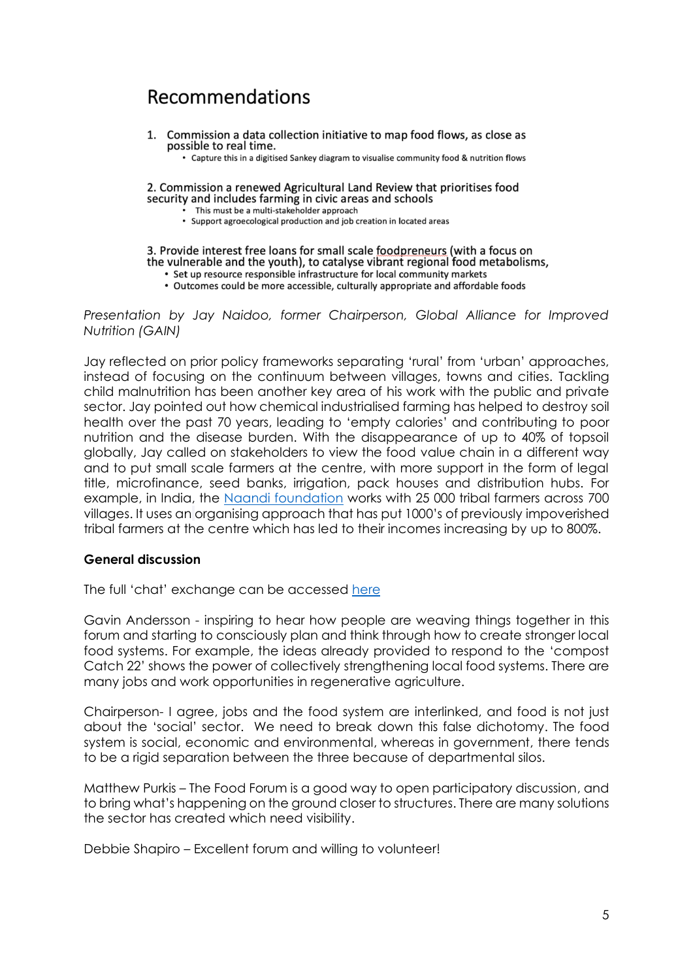# **Recommendations**

1. Commission a data collection initiative to map food flows, as close as possible to real time.

• Capture this in a digitised Sankey diagram to visualise community food & nutrition flows

2. Commission a renewed Agricultural Land Review that prioritises food security and includes farming in civic areas and schools

- This must be a multi-stakeholder approach
- Support agroecological production and job creation in located areas

#### 3. Provide interest free loans for small scale foodpreneurs (with a focus on the vulnerable and the youth), to catalyse vibrant regional food metabolisms,

- Set up resource responsible infrastructure for local community markets
- Outcomes could be more accessible, culturally appropriate and affordable foods

*Presentation by Jay Naidoo, former Chairperson, Global Alliance for Improved Nutrition (GAIN)* 

Jay reflected on prior policy frameworks separating 'rural' from 'urban' approaches, instead of focusing on the continuum between villages, towns and cities. Tackling child malnutrition has been another key area of his work with the public and private sector. Jay pointed out how chemical industrialised farming has helped to destroy soil health over the past 70 years, leading to 'empty calories' and contributing to poor nutrition and the disease burden. With the disappearance of up to 40% of topsoil globally, Jay called on stakeholders to view the food value chain in a different way and to put small scale farmers at the centre, with more support in the form of legal title, microfinance, seed banks, irrigation, pack houses and distribution hubs. For example, in India, the [Naandi foundation](https://www.naandi.org/) works with 25 000 tribal farmers across 700 villages. It uses an organising approach that has put 1000's of previously impoverished tribal farmers at the centre which has led to their incomes increasing by up to 800%.

### **General discussion**

The full 'chat' exchange can be accessed [here](https://drive.google.com/file/d/1TX-wWty7-yWvz5F0h5HTHcj0Dy9paEyX/view?usp=sharing)

Gavin Andersson - inspiring to hear how people are weaving things together in this forum and starting to consciously plan and think through how to create stronger local food systems. For example, the ideas already provided to respond to the 'compost Catch 22' shows the power of collectively strengthening local food systems. There are many jobs and work opportunities in regenerative agriculture.

Chairperson- I agree, jobs and the food system are interlinked, and food is not just about the 'social' sector. We need to break down this false dichotomy. The food system is social, economic and environmental, whereas in government, there tends to be a rigid separation between the three because of departmental silos.

Matthew Purkis – The Food Forum is a good way to open participatory discussion, and to bring what's happening on the ground closer to structures. There are many solutions the sector has created which need visibility.

Debbie Shapiro – Excellent forum and willing to volunteer!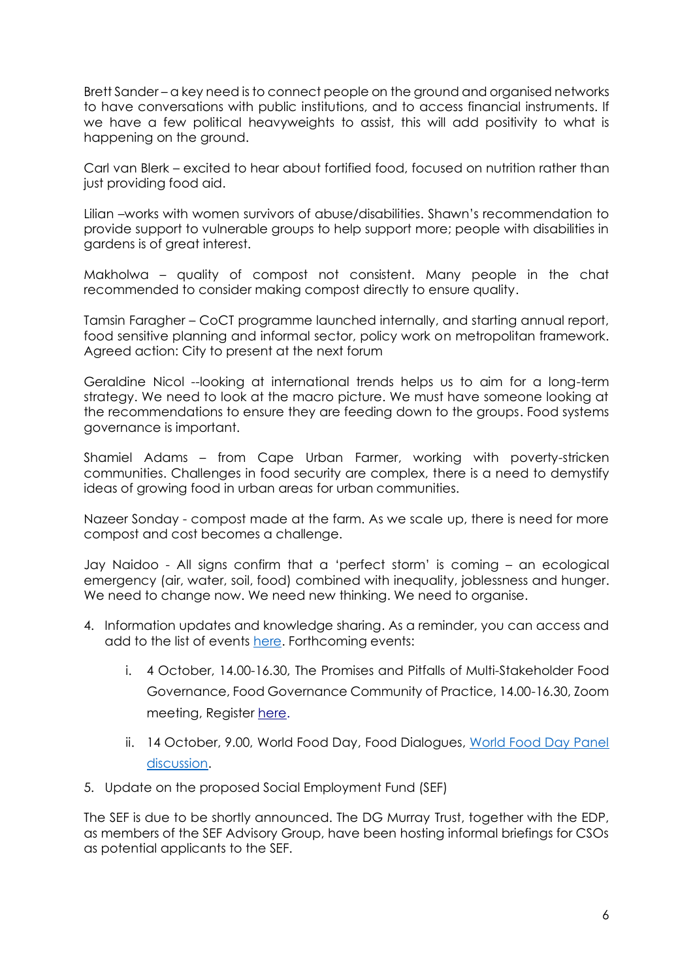Brett Sander – a key need is to connect people on the ground and organised networks to have conversations with public institutions, and to access financial instruments. If we have a few political heavyweights to assist, this will add positivity to what is happening on the ground.

Carl van Blerk – excited to hear about fortified food, focused on nutrition rather than just providing food aid.

Lilian –works with women survivors of abuse/disabilities. Shawn's recommendation to provide support to vulnerable groups to help support more; people with disabilities in gardens is of great interest.

Makholwa – quality of compost not consistent. Many people in the chat recommended to consider making compost directly to ensure quality.

Tamsin Faragher – CoCT programme launched internally, and starting annual report, food sensitive planning and informal sector, policy work on metropolitan framework. Agreed action: City to present at the next forum

Geraldine Nicol --looking at international trends helps us to aim for a long-term strategy. We need to look at the macro picture. We must have someone looking at the recommendations to ensure they are feeding down to the groups. Food systems governance is important.

Shamiel Adams – from Cape Urban Farmer, working with poverty-stricken communities. Challenges in food security are complex, there is a need to demystify ideas of growing food in urban areas for urban communities.

Nazeer Sonday - compost made at the farm. As we scale up, there is need for more compost and cost becomes a challenge.

Jay Naidoo - All signs confirm that a 'perfect storm' is coming – an ecological emergency (air, water, soil, food) combined with inequality, joblessness and hunger. We need to change now. We need new thinking. We need to organise.

- 4. Information updates and knowledge sharing. As a reminder, you can access and add to the list of events [here.](https://docs.google.com/document/d/1-6H6X74neM5ddGisqZpO0xPqnyTkyR9xL8OqkIDQQ4o/edit) Forthcoming events:
	- i. 4 October, 14.00-16.30, The Promises and Pitfalls of Multi-Stakeholder Food Governance, Food Governance Community of Practice, 14.00-16.30, Zoom meeting, Register [here.](https://plaas.us18.list-manage.com/track/click?u=9501da252e3844f536cf67b8e&id=a12e896d30&e=4e6f5b773d)
	- ii. 14 October, 9.00, World Food Day, Food Dialogues, World Food Day Panel [discussion.](https://food-dialogues-cape-town-2021.heysummit.com/talks/world-food-day-panel-discussion/)
- 5. Update on the proposed Social Employment Fund (SEF)

The SEF is due to be shortly announced. The DG Murray Trust, together with the EDP, as members of the SEF Advisory Group, have been hosting informal briefings for CSOs as potential applicants to the SEF.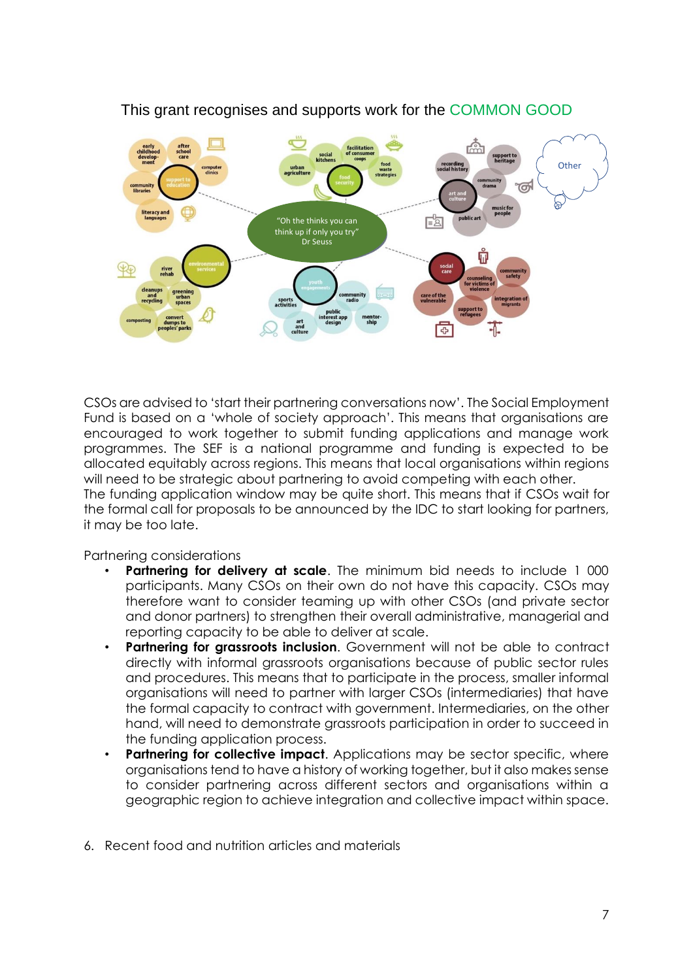

## This grant recognises and supports work for the COMMON GOOD

CSOs are advised to 'start their partnering conversations now'. The Social Employment Fund is based on a 'whole of society approach'. This means that organisations are encouraged to work together to submit funding applications and manage work programmes. The SEF is a national programme and funding is expected to be allocated equitably across regions. This means that local organisations within regions will need to be strategic about partnering to avoid competing with each other. The funding application window may be quite short. This means that if CSOs wait for the formal call for proposals to be announced by the IDC to start looking for partners, it may be too late.

Partnering considerations

- **Partnering for delivery at scale**. The minimum bid needs to include 1 000 participants. Many CSOs on their own do not have this capacity. CSOs may therefore want to consider teaming up with other CSOs (and private sector and donor partners) to strengthen their overall administrative, managerial and reporting capacity to be able to deliver at scale.
- **Partnering for grassroots inclusion**. Government will not be able to contract directly with informal grassroots organisations because of public sector rules and procedures. This means that to participate in the process, smaller informal organisations will need to partner with larger CSOs (intermediaries) that have the formal capacity to contract with government. Intermediaries, on the other hand, will need to demonstrate grassroots participation in order to succeed in the funding application process.
- **Partnering for collective impact.** Applications may be sector specific, where organisations tend to have a history of working together, but it also makes sense to consider partnering across different sectors and organisations within a geographic region to achieve integration and collective impact within space.
- 6. Recent food and nutrition articles and materials